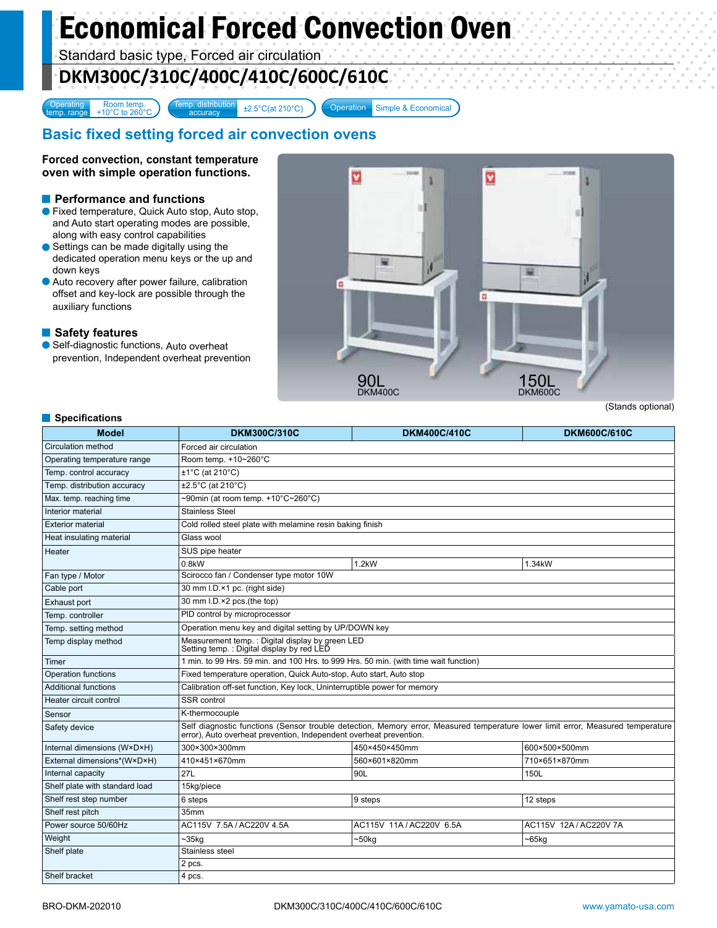# Economical Forced Convection Oven

Standard basic type, Forced air circulation

# **DKM300C/310C/400C/410C/600C/610C**

**Operating** Operating Room temp.<br>
temp. range +10°C to 260°C Simple & Economical Accuracy 2.5°C(at 210°C) Coperation Simple & Economical

## **Basic fixed setting forced air convection ovens**

**Forced convection, constant temperature oven with simple operation functions.**

## **Performance and functions**

- Fixed temperature, Quick Auto stop, Auto stop, and Auto start operating modes are possible, along with easy control capabilities
- Settings can be made digitally using the dedicated operation menu keys or the up and down keys
- Auto recovery after power failure, calibration offset and key-lock are possible through the auxiliary functions

### **Safety features**

● Self-diagnostic functions, Auto overheat prevention, Independent overheat prevention



#### **Specifications**

| <b>Model</b>                   | <b>DKM300C/310C</b>                                                                                                                                                                                   | <b>DKM400C/410C</b>      | <b>DKM600C/610C</b>    |
|--------------------------------|-------------------------------------------------------------------------------------------------------------------------------------------------------------------------------------------------------|--------------------------|------------------------|
| Circulation method             | Forced air circulation                                                                                                                                                                                |                          |                        |
| Operating temperature range    | Room temp. +10~260°C                                                                                                                                                                                  |                          |                        |
| Temp. control accuracy         | $±1^{\circ}C$ (at 210 $^{\circ}C$ )                                                                                                                                                                   |                          |                        |
| Temp. distribution accuracy    | ±2.5°C (at 210°C)                                                                                                                                                                                     |                          |                        |
| Max. temp. reaching time       | ~90min (at room temp. +10°C~260°C)                                                                                                                                                                    |                          |                        |
| Interior material              | <b>Stainless Steel</b>                                                                                                                                                                                |                          |                        |
| <b>Exterior material</b>       | Cold rolled steel plate with melamine resin baking finish                                                                                                                                             |                          |                        |
| Heat insulating material       | Glass wool                                                                                                                                                                                            |                          |                        |
| Heater                         | SUS pipe heater                                                                                                                                                                                       |                          |                        |
|                                | 0.8kW                                                                                                                                                                                                 | 1.2kW                    | 1.34kW                 |
| Fan type / Motor               | Scirocco fan / Condenser type motor 10W                                                                                                                                                               |                          |                        |
| Cable port                     | 30 mm I.D.×1 pc. (right side)                                                                                                                                                                         |                          |                        |
| Exhaust port                   | 30 mm I.D.×2 pcs.(the top)                                                                                                                                                                            |                          |                        |
| Temp. controller               | PID control by microprocessor                                                                                                                                                                         |                          |                        |
| Temp. setting method           | Operation menu key and digital setting by UP/DOWN key                                                                                                                                                 |                          |                        |
| Temp display method            | Measurement temp.: Digital display by green LED<br>Setting temp.: Digital display by red LED                                                                                                          |                          |                        |
| Timer                          | 1 min. to 99 Hrs. 59 min. and 100 Hrs. to 999 Hrs. 50 min. (with time wait function)                                                                                                                  |                          |                        |
| Operation functions            | Fixed temperature operation, Quick Auto-stop, Auto start, Auto stop                                                                                                                                   |                          |                        |
| <b>Additional functions</b>    | Calibration off-set function, Key lock, Uninterruptible power for memory                                                                                                                              |                          |                        |
| Heater circuit control         | SSR control                                                                                                                                                                                           |                          |                        |
| Sensor                         | K-thermocouple                                                                                                                                                                                        |                          |                        |
| Safety device                  | Self diagnostic functions (Sensor trouble detection, Memory error, Measured temperature lower limit error, Measured temperature<br>error), Auto overheat prevention, Independent overheat prevention. |                          |                        |
| Internal dimensions (W×D×H)    | 300×300×300mm                                                                                                                                                                                         | 450×450×450mm            | 600×500×500mm          |
| External dimensions*(W×D×H)    | 410×451×670mm                                                                                                                                                                                         | 560×601×820mm            | 710×651×870mm          |
| Internal capacity              | 27L                                                                                                                                                                                                   | 90L                      | 150L                   |
| Shelf plate with standard load | 15kg/piece                                                                                                                                                                                            |                          |                        |
| Shelf rest step number         | 6 steps                                                                                                                                                                                               | 9 steps                  | 12 steps               |
| Shelf rest pitch               | 35mm                                                                                                                                                                                                  |                          |                        |
| Power source 50/60Hz           | AC115V 7.5A / AC220V 4.5A                                                                                                                                                                             | AC115V 11A / AC220V 6.5A | AC115V 12A / AC220V 7A |
| Weight                         | $~25$ kg                                                                                                                                                                                              | ~50kg                    | $-65kg$                |
| Shelf plate                    | Stainless steel                                                                                                                                                                                       |                          |                        |
|                                | 2 pcs.                                                                                                                                                                                                |                          |                        |
| Shelf bracket                  | 4 pcs.                                                                                                                                                                                                |                          |                        |